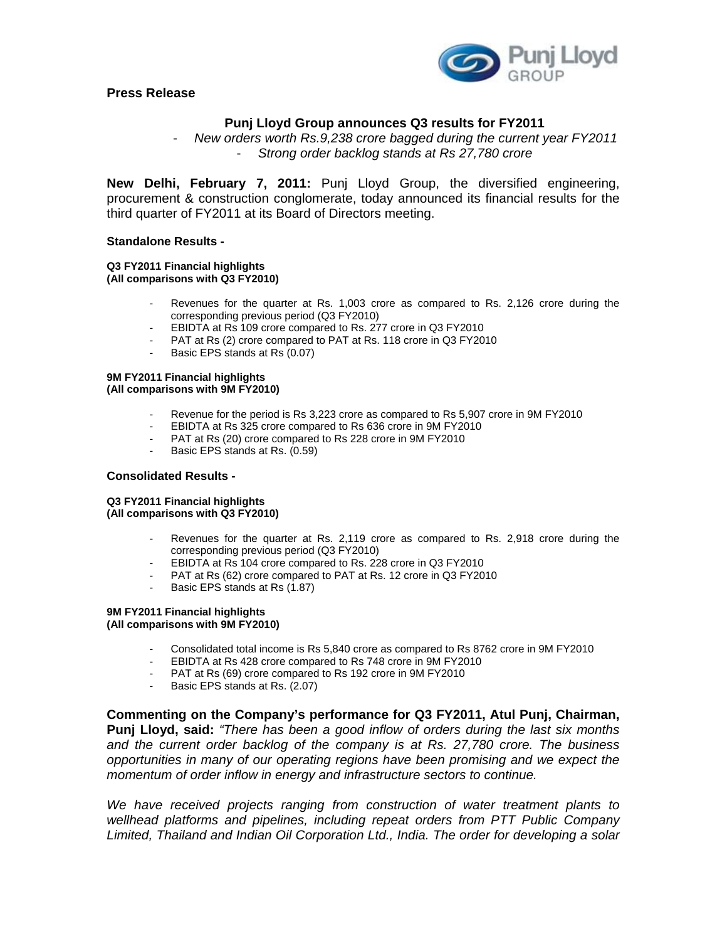**Press Release** 



# **Punj Lloyd Group announces Q3 results for FY2011**

- *New orders worth Rs.9,238 crore bagged during the current year FY2011*  - *Strong order backlog stands at Rs 27,780 crore* 

**New Delhi, February 7, 2011:** Punj Lloyd Group, the diversified engineering, procurement & construction conglomerate, today announced its financial results for the third quarter of FY2011 at its Board of Directors meeting.

## **Standalone Results -**

#### **Q3 FY2011 Financial highlights (All comparisons with Q3 FY2010)**

- Revenues for the quarter at Rs. 1,003 crore as compared to Rs. 2,126 crore during the corresponding previous period (Q3 FY2010)
- EBIDTA at Rs 109 crore compared to Rs. 277 crore in Q3 FY2010
- PAT at Rs (2) crore compared to PAT at Rs. 118 crore in Q3 FY2010
- Basic EPS stands at Rs (0.07)

#### **9M FY2011 Financial highlights (All comparisons with 9M FY2010)**

- Revenue for the period is Rs 3.223 crore as compared to Rs 5,907 crore in 9M FY2010
- EBIDTA at Rs 325 crore compared to Rs 636 crore in 9M FY2010
- PAT at Rs (20) crore compared to Rs 228 crore in 9M FY2010
- Basic EPS stands at Rs. (0.59)

## **Consolidated Results -**

### **Q3 FY2011 Financial highlights (All comparisons with Q3 FY2010)**

- Revenues for the quarter at Rs. 2,119 crore as compared to Rs. 2,918 crore during the corresponding previous period (Q3 FY2010)
- EBIDTA at Rs 104 crore compared to Rs. 228 crore in Q3 FY2010
- PAT at Rs (62) crore compared to PAT at Rs. 12 crore in Q3 FY2010
- Basic EPS stands at Rs (1.87)

#### **9M FY2011 Financial highlights (All comparisons with 9M FY2010)**

- Consolidated total income is Rs 5,840 crore as compared to Rs 8762 crore in 9M FY2010
- EBIDTA at Rs 428 crore compared to Rs 748 crore in 9M FY2010
- PAT at Rs (69) crore compared to Rs 192 crore in 9M FY2010
- Basic EPS stands at Rs. (2.07)

**Commenting on the Company's performance for Q3 FY2011, Atul Punj, Chairman, Punj Lloyd, said:** *"There has been a good inflow of orders during the last six months and the current order backlog of the company is at Rs. 27,780 crore. The business opportunities in many of our operating regions have been promising and we expect the momentum of order inflow in energy and infrastructure sectors to continue.* 

*We have received projects ranging from construction of water treatment plants to wellhead platforms and pipelines, including repeat orders from PTT Public Company Limited, Thailand and Indian Oil Corporation Ltd., India. The order for developing a solar*